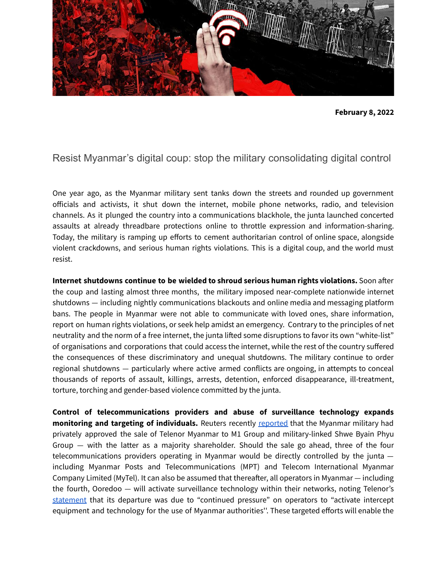

## Resist Myanmar's digital coup: stop the military consolidating digital control

One year ago, as the Myanmar military sent tanks down the streets and rounded up government officials and activists, it shut down the internet, mobile phone networks, radio, and television channels. As it plunged the country into a communications blackhole, the junta launched concerted assaults at already threadbare protections online to throttle expression and information-sharing. Today, the military is ramping up efforts to cement authoritarian control of online space, alongside violent crackdowns, and serious human rights violations. This is a digital coup, and the world must resist.

**Internet shutdowns continue to be wielded to shroud serious human rights violations.** Soon after the coup and lasting almost three months, the military imposed near-complete nationwide internet shutdowns — including nightly communications blackouts and online media and messaging platform bans. The people in Myanmar were not able to communicate with loved ones, share information, report on human rights violations, or seek help amidst an emergency. Contrary to the principles of net neutrality and the norm of a free internet, the junta lifted some disruptions to favor its own "white-list" of organisations and corporations that could access the internet, while the rest of the country suffered the consequences of these discriminatory and unequal shutdowns. The military continue to order regional shutdowns — particularly where active armed conflicts are ongoing, in attempts to conceal thousands of reports of assault, killings, arrests, detention, enforced disappearance, ill-treatment, torture, torching and gender-based violence committed by the junta.

**Control of telecommunications providers and abuse of surveillance technology expands monitoring and targeting of individuals.** Reuters recently [reported](https://www.reuters.com/business/media-telecom/exclusive-myanmar-junta-backs-telenor-unit-sale-after-buyer-m1-pairs-with-local-2022-01-21/) that the Myanmar military had privately approved the sale of Telenor Myanmar to M1 Group and military-linked Shwe Byain Phyu Group — with the latter as a majority shareholder. Should the sale go ahead, three of the four telecommunications providers operating in Myanmar would be directly controlled by the junta including Myanmar Posts and Telecommunications (MPT) and Telecom International Myanmar Company Limited (MyTel). It can also be assumed that thereafter, all operators in Myanmar — including the fourth, Ooredoo — will activate surveillance technology within their networks, noting Telenor's [statement](https://www.reuters.com/world/norways-telenor-says-myanmar-unit-sale-came-after-juntas-pressure-surveillance-2021-09-15/) that its departure was due to "continued pressure" on operators to "activate intercept equipment and technology for the use of Myanmar authorities''. These targeted efforts will enable the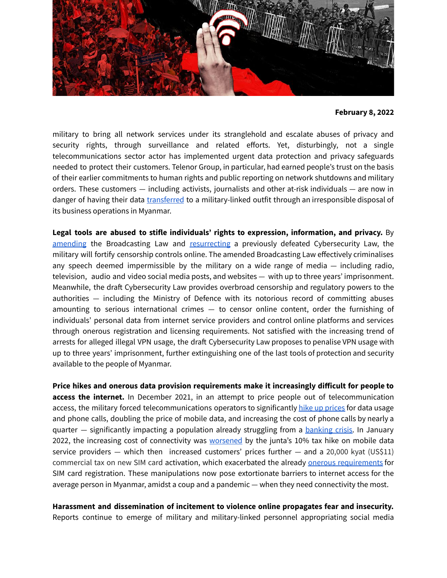

military to bring all network services under its stranglehold and escalate abuses of privacy and security rights, through surveillance and related efforts. Yet, disturbingly, not a single telecommunications sector actor has implemented urgent data protection and privacy safeguards needed to protect their customers. Telenor Group, in particular, had earned people's trust on the basis of their earlier commitments to human rights and public reporting on network shutdowns and military orders. These customers — including activists, journalists and other at-risk individuals — are now in danger of having their data [transferred](https://www.myanmar-now.org/en/news/telenor-will-transfer-call-data-records-for-18m-subscribers-to-junta-linked-company) to a military-linked outfit through an irresponsible disposal of its business operations in Myanmar.

**Legal tools are abused to stifle individuals' rights to expression, information, and privacy.** By [amending](https://www.voanews.com/a/junta-adds-tougher-penalties-to-myanmar-broadcast-law-/6302062.html) the Broadcasting Law and [resurrecting](https://www.facebook.com/login/?next=https%3A%2F%2Fwww.facebook.com%2Fvnadvisorymyanmar%2Fposts%2F454384046378122) a previously defeated Cybersecurity Law, the military will fortify censorship controls online. The amended Broadcasting Law effectively criminalises any speech deemed impermissible by the military on a wide range of media  $-$  including radio, television, audio and video social media posts, and websites — with up to three years' imprisonment. Meanwhile, the draft Cybersecurity Law provides overbroad censorship and regulatory powers to the authorities — including the Ministry of Defence with its notorious record of committing abuses amounting to serious international crimes — to censor online content, order the furnishing of individuals' personal data from internet service providers and control online platforms and services through onerous registration and licensing requirements. Not satisfied with the increasing trend of arrests for alleged illegal VPN usage, the draft Cybersecurity Law proposes to penalise VPN usage with up to three years' imprisonment, further extinguishing one of the last tools of protection and security available to the people of Myanmar.

**Price hikes and onerous data provision requirements make it increasingly difficult for people to access the internet.** In December 2021, in an attempt to price people out of telecommunication access, the military forced telecommunications operators to significantly hike up [prices](https://www.irrawaddy.com/news/burma/myanmar-junta-raises-sim-and-internet-taxes-to-silence-opposition.html) for data usage and phone calls, doubling the price of mobile data, and increasing the cost of phone calls by nearly a quarter – significantly impacting a population already struggling from a **[banking](https://www.reuters.com/business/finance/lines-tokens-money-brokers-myanmars-crumbling-economy-runs-low-cash-2021-05-14/) crisis**. In January 2022, the increasing cost of connectivity was [worsened](https://www.myanmar-now.org/en/news/junta-says-hefty-new-telecoms-taxes-will-curb-extreme-use-of-internet-services) by the junta's 10% tax hike on mobile data service providers — which then increased customers' prices further  $-$  and a 20,000 kyat (US\$11) commercial tax on new SIM card activation, which exacerbated the already onerous [requirements](https://www.myanmar-now.org/en/news/telecoms-ministry-says-it-has-deactivated-more-than-34-million-sim-cards) for SIM card registration. These manipulations now pose extortionate barriers to internet access for the average person in Myanmar, amidst a coup and a pandemic — when they need connectivity the most.

**Harassment and dissemination of incitement to violence online propagates fear and insecurity.** Reports continue to emerge of military and military-linked personnel appropriating social media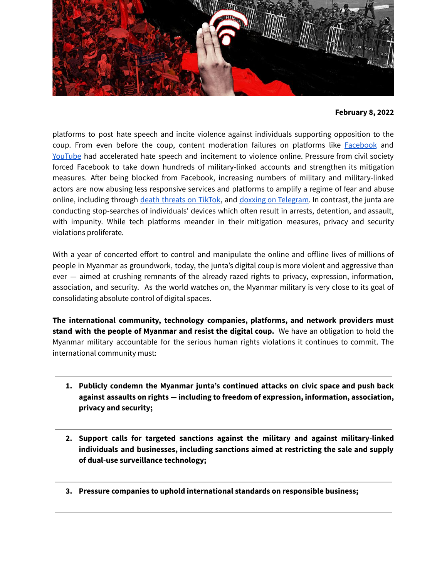

platforms to post hate speech and incite violence against individuals supporting opposition to the coup. From even before the coup, content moderation failures on platforms like [Facebook](https://www.theguardian.com/technology/2021/dec/06/rohingya-sue-facebook-myanmar-genocide-us-uk-legal-action-social-media-violence) and [YouTube](https://www.reuters.com/article/us-youtube-myanmar-misinformation-idUSKBN28S0QE) had accelerated hate speech and incitement to violence online. Pressure from civil society forced Facebook to take down hundreds of military-linked accounts and strengthen its mitigation measures. After being blocked from Facebook, increasing numbers of military and military-linked actors are now abusing less responsive services and platforms to amplify a regime of fear and abuse online, including through death [threats](https://www.washingtonpost.com/opinions/2021/03/16/myanmars-military-is-using-tiktok-against-protesters-app-must-take-stand/) on TikTok, and doxxing on [Telegram](https://mobile.twitter.com/barnyar/status/1488105742532071425). In contrast, the junta are conducting stop-searches of individuals' devices which often result in arrests, detention, and assault, with impunity. While tech platforms meander in their mitigation measures, privacy and security violations proliferate.

With a year of concerted effort to control and manipulate the online and offline lives of millions of people in Myanmar as groundwork, today, the junta's digital coup is more violent and aggressive than ever — aimed at crushing remnants of the already razed rights to privacy, expression, information, association, and security. As the world watches on, the Myanmar military is very close to its goal of consolidating absolute control of digital spaces.

**The international community, technology companies, platforms, and network providers must stand with the people of Myanmar and resist the digital coup.** We have an obligation to hold the Myanmar military accountable for the serious human rights violations it continues to commit. The international community must:

- **1. Publicly condemn the Myanmar junta's continued attacks on civic space and push back against assaults on rights — including to freedom of expression, information, association, privacy and security;**
- **2. Support calls for targeted sanctions against the military and against military-linked individuals and businesses, including sanctions aimed at restricting the sale and supply of dual-use surveillance technology;**
- **3. Pressure companies to uphold international standards on responsible business;**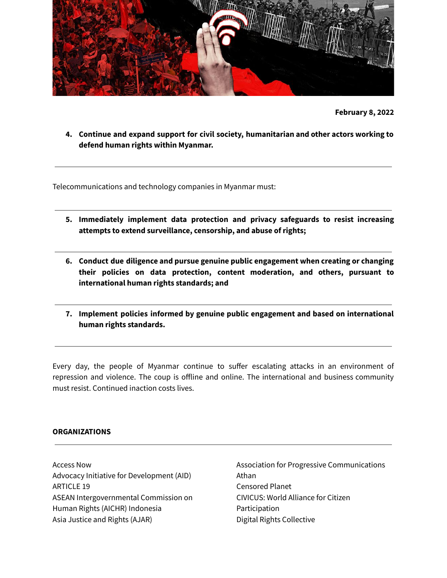

**4. Continue and expand support for civil society, humanitarian and other actors working to defend human rights within Myanmar.**

Telecommunications and technology companies in Myanmar must:

- **5. Immediately implement data protection and privacy safeguards to resist increasing attempts to extend surveillance, censorship, and abuse of rights;**
- **6. Conduct due diligence and pursue genuine public engagement when creating or changing their policies on data protection, content moderation, and others, pursuant to international human rights standards; and**
- **7. Implement policies informed by genuine public engagement and based on international human rights standards.**

Every day, the people of Myanmar continue to suffer escalating attacks in an environment of repression and violence. The coup is offline and online. The international and business community must resist. Continued inaction costs lives.

## **ORGANIZATIONS**

Access Now Advocacy Initiative for Development (AID) ARTICLE 19 ASEAN [Intergovernmental](https://aichr.org/) Commission on [Human](https://aichr.org/) Rights (AICHR) Indonesia Asia Justice and Rights (AJAR)

Association for Progressive Communications Athan Censored Planet CIVICUS: World Alliance for Citizen Participation Digital Rights Collective